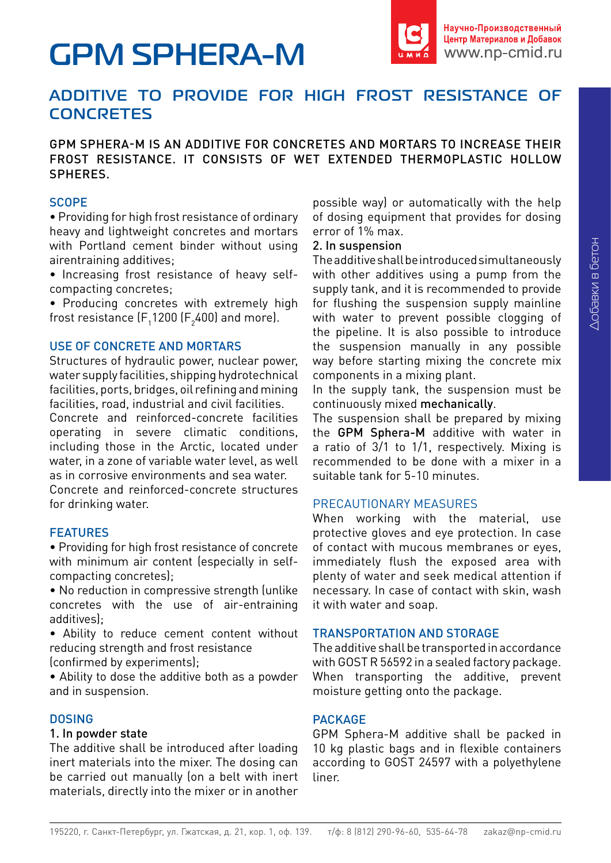# **GPM SPHERA-М**



# **ADDITIVE TO PROVIDE FOR HIGH FROST RESISTANCE OF CONCRETES**

GPM SPHERA-M IS AN ADDITIVE FOR CONCRETES AND MORTARS TO INCREASE THEIR FROST RESISTANCE. IT CONSISTS OF WET EXTENDED THERMOPLASTIC HOLLOW SPHERES.

#### **SCOPE**

• Providing for high frost resistance of ordinary heavy and lightweight concretes and mortars with Portland cement binder without using airentraining additives;

• Increasing frost resistance of heavy selfcompacting concretes;

• Producing concretes with extremely high frost resistance (F $_{\textrm{\tiny{\text{1}}} }$ 1200 (F $_{\textrm{\tiny{\text{2}}} }$ 400) and more).

# USE OF CONCRETE AND MORTARS

Structures of hydraulic power, nuclear power, water supply facilities, shipping hydrotechnical facilities, ports, bridges, oil refining and mining facilities, road, industrial and civil facilities.

Concrete and reinforced-concrete facilities operating in severe climatic conditions, including those in the Arctic, located under water, in a zone of variable water level, as well as in corrosive environments and sea water.

Concrete and reinforced-concrete structures for drinking water.

# FEATURES

• Providing for high frost resistance of concrete with minimum air content (especially in selfcompacting concretes);

• No reduction in compressive strength (unlike concretes with the use of air-entraining additives);

• Ability to reduce cement content without reducing strength and frost resistance

(confirmed by experiments);

• Ability to dose the additive both as a powder and in suspension.

# **DOSING**

#### 1. In powder state

The additive shall be introduced after loading inert materials into the mixer. The dosing can be carried out manually (on a belt with inert materials, directly into the mixer or in another possible way) or automatically with the help of dosing equipment that provides for dosing error of 1% max.

#### 2. In suspension

The additive shall be introduced simultaneously with other additives using a pump from the supply tank, and it is recommended to provide for flushing the suspension supply mainline with water to prevent possible clogging of the pipeline. It is also possible to introduce the suspension manually in any possible way before starting mixing the concrete mix components in a mixing plant.

In the supply tank, the suspension must be continuously mixed mechanically.

The suspension shall be prepared by mixing the GPM Sphera-M additive with water in a ratio of 3/1 to 1/1, respectively. Mixing is recommended to be done with a mixer in a suitable tank for 5-10 minutes.

# PRECAUTIONARY MEASURES

When working with the material, use protective gloves and eye protection. In case of contact with mucous membranes or eyes, immediately flush the exposed area with plenty of water and seek medical attention if necessary. In case of contact with skin, wash it with water and soap.

# TRANSPORTATION AND STORAGE

The additive shall be transported in accordance with GOST R 56592 in a sealed factory package. When transporting the additive, prevent moisture getting onto the package.

# PACKAGE

GPM Sphera-M additive shall be packed in 10 kg plastic bags and in flexible containers according to GOST 24597 with a polyethylene liner.